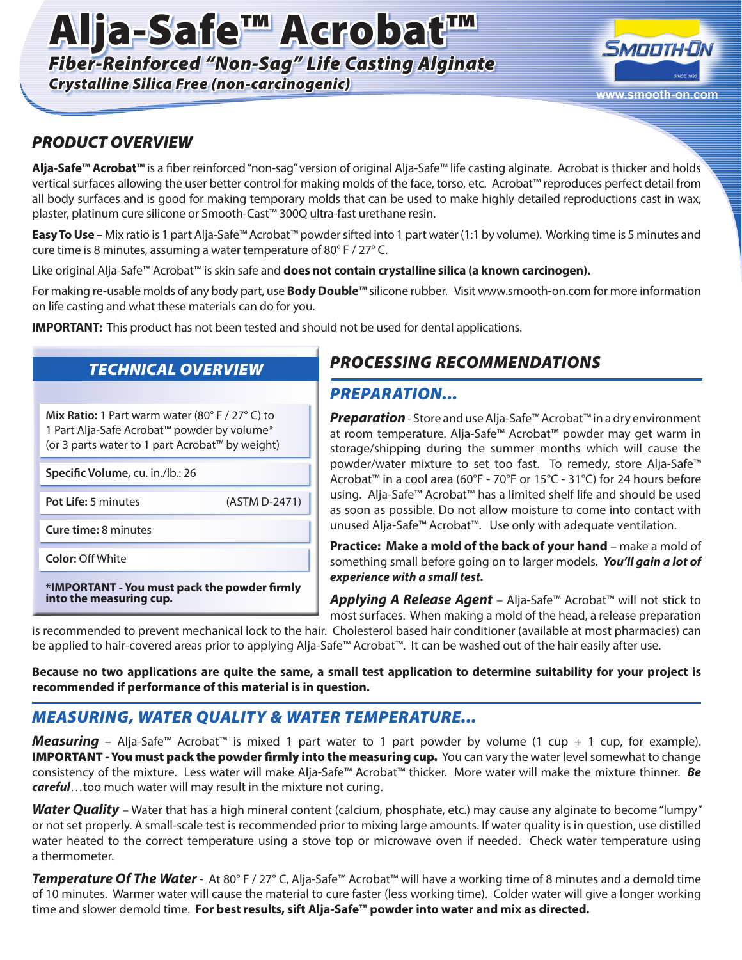# Alja-Safe™ Acrobat™

*Fiber-Reinforced "Non-Sag" Life Casting Alginate*

*Crystalline Silica Free (non-carcinogenic)* **www.smooth-on.com**



#### *PRODUCT OVERVIEW*

**Alja-Safe™ Acrobat™** is a fiber reinforced "non-sag" version of original Alja-Safe™ life casting alginate. Acrobat is thicker and holds vertical surfaces allowing the user better control for making molds of the face, torso, etc. Acrobat™ reproduces perfect detail from all body surfaces and is good for making temporary molds that can be used to make highly detailed reproductions cast in wax, plaster, platinum cure silicone or Smooth-Cast™ 300Q ultra-fast urethane resin.

**Easy To Use –** Mix ratio is 1 part Alja-Safe™ Acrobat™ powder sifted into 1 part water (1:1 by volume). Working time is 5 minutes and cure time is 8 minutes, assuming a water temperature of 80° F / 27° C.

Like original Alja-Safe™ Acrobat™ is skin safe and **does not contain crystalline silica (a known carcinogen).** 

For making re-usable molds of any body part, use **Body Double™** silicone rubber. Visit www.smooth-on.com for more information on life casting and what these materials can do for you.

**IMPORTANT:** This product has not been tested and should not be used for dental applications.

#### *TECHNICAL OVERVIEW*

**Mix Ratio:** 1 Part warm water (80° F / 27° C) to 1 Part Alja-Safe Acrobat™ powder by volume\* (or 3 parts water to 1 part Acrobat™ by weight)

**Specific Volume,** cu. in./lb.: 26

Pot Life: 5 minutes (ASTM D-2471)

**Cure time:** 8 minutes

**Color:** Off White

**\*IMPORTANT - You must pack the powder firmly into the measuring cup.**

#### *PROCESSING RECOMMENDATIONS*

#### *PREPARATION...*

*Preparation* - Store and use Alja-Safe™ Acrobat™ in a dry environment at room temperature. Alja-Safe™ Acrobat™ powder may get warm in storage/shipping during the summer months which will cause the powder/water mixture to set too fast. To remedy, store Alja-Safe™ Acrobat™ in a cool area (60°F - 70°F or 15°C - 31°C) for 24 hours before using. Alja-Safe™ Acrobat™ has a limited shelf life and should be used as soon as possible. Do not allow moisture to come into contact with unused Alja-Safe™ Acrobat™. Use only with adequate ventilation.

**Practice: Make a mold of the back of your hand** – make a mold of something small before going on to larger models. *You'll gain a lot of experience with a small test.* 

*Applying A Release Agent* – Alja-Safe™ Acrobat™ will not stick to most surfaces. When making a mold of the head, a release preparation

is recommended to prevent mechanical lock to the hair. Cholesterol based hair conditioner (available at most pharmacies) can be applied to hair-covered areas prior to applying Alja-Safe™ Acrobat™. It can be washed out of the hair easily after use.

**Because no two applications are quite the same, a small test application to determine suitability for your project is recommended if performance of this material is in question.**

### *MEASURING, WATER QUALITY & WATER TEMPERATURE...*

*Measuring* – Alja-Safe™ Acrobat™ is mixed 1 part water to 1 part powder by volume (1 cup + 1 cup, for example). **IMPORTANT - You must pack the powder firmly into the measuring cup.** You can vary the water level somewhat to change consistency of the mixture. Less water will make Alja-Safe™ Acrobat™ thicker. More water will make the mixture thinner. *Be careful*…too much water will may result in the mixture not curing.

*Water Quality* – Water that has a high mineral content (calcium, phosphate, etc.) may cause any alginate to become "lumpy" or not set properly. A small-scale test is recommended prior to mixing large amounts. If water quality is in question, use distilled water heated to the correct temperature using a stove top or microwave oven if needed. Check water temperature using a thermometer.

*Temperature Of The Water*- At 80° F / 27° C, Alja-Safe™ Acrobat™ will have a working time of 8 minutes and a demold time of 10 minutes. Warmer water will cause the material to cure faster (less working time). Colder water will give a longer working time and slower demold time. **For best results, sift Alja-Safe™ powder into water and mix as directed.**